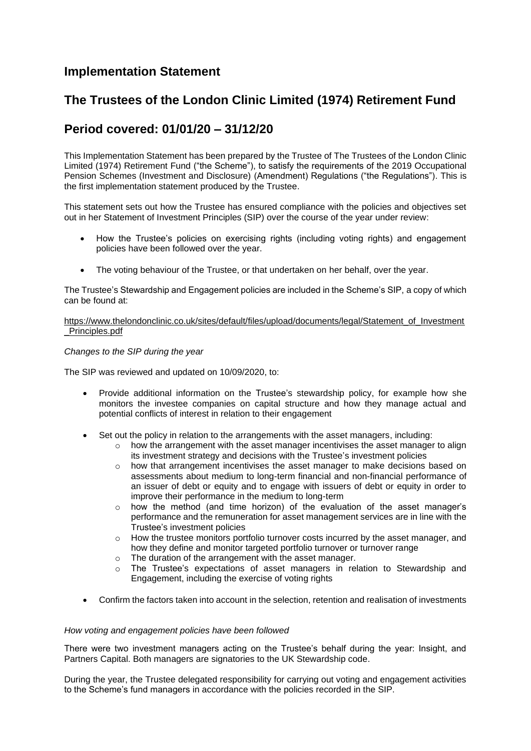## **Implementation Statement**

# **The Trustees of the London Clinic Limited (1974) Retirement Fund**

# **Period covered: 01/01/20 – 31/12/20**

This Implementation Statement has been prepared by the Trustee of The Trustees of the London Clinic Limited (1974) Retirement Fund ("the Scheme"), to satisfy the requirements of the 2019 Occupational Pension Schemes (Investment and Disclosure) (Amendment) Regulations ("the Regulations"). This is the first implementation statement produced by the Trustee.

This statement sets out how the Trustee has ensured compliance with the policies and objectives set out in her Statement of Investment Principles (SIP) over the course of the year under review:

- How the Trustee's policies on exercising rights (including voting rights) and engagement policies have been followed over the year.
- The voting behaviour of the Trustee, or that undertaken on her behalf, over the year.

The Trustee's Stewardship and Engagement policies are included in the Scheme's SIP, a copy of which can be found at:

[https://www.thelondonclinic.co.uk/sites/default/files/upload/documents/legal/Statement\\_of\\_Investment](https://www.thelondonclinic.co.uk/sites/default/files/upload/documents/legal/Statement_of_Investment_Principles.pdf) [\\_Principles.pdf](https://www.thelondonclinic.co.uk/sites/default/files/upload/documents/legal/Statement_of_Investment_Principles.pdf)

### *Changes to the SIP during the year*

The SIP was reviewed and updated on 10/09/2020, to:

- Provide additional information on the Trustee's stewardship policy, for example how she monitors the investee companies on capital structure and how they manage actual and potential conflicts of interest in relation to their engagement
- Set out the policy in relation to the arrangements with the asset managers, including:
	- $\circ$  how the arrangement with the asset manager incentivises the asset manager to align its investment strategy and decisions with the Trustee's investment policies
		- o how that arrangement incentivises the asset manager to make decisions based on assessments about medium to long-term financial and non-financial performance of an issuer of debt or equity and to engage with issuers of debt or equity in order to improve their performance in the medium to long-term
		- o how the method (and time horizon) of the evaluation of the asset manager's performance and the remuneration for asset management services are in line with the Trustee's investment policies
		- $\circ$  How the trustee monitors portfolio turnover costs incurred by the asset manager, and how they define and monitor targeted portfolio turnover or turnover range
		- o The duration of the arrangement with the asset manager.
		- $\circ$  The Trustee's expectations of asset managers in relation to Stewardship and Engagement, including the exercise of voting rights
- Confirm the factors taken into account in the selection, retention and realisation of investments

### *How voting and engagement policies have been followed*

There were two investment managers acting on the Trustee's behalf during the year: Insight, and Partners Capital. Both managers are signatories to the UK Stewardship code.

During the year, the Trustee delegated responsibility for carrying out voting and engagement activities to the Scheme's fund managers in accordance with the policies recorded in the SIP.